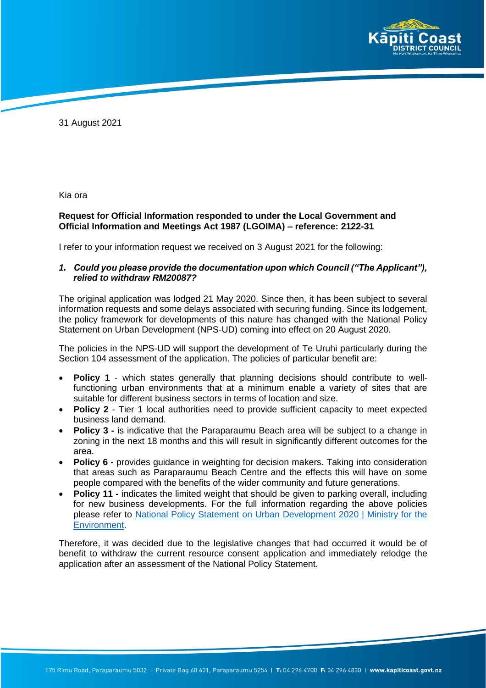

31 August 2021

Kia ora

## **Request for Official Information responded to under the Local Government and Official Information and Meetings Act 1987 (LGOIMA) – reference: 2122-31**

I refer to your information request we received on 3 August 2021 for the following:

*1. Could you please provide the documentation upon which Council ("The Applicant"), relied to withdraw RM20087?*

The original application was lodged 21 May 2020. Since then, it has been subject to several information requests and some delays associated with securing funding. Since its lodgement, the policy framework for developments of this nature has changed with the National Policy Statement on Urban Development (NPS-UD) coming into effect on 20 August 2020.

The policies in the NPS-UD will support the development of Te Uruhi particularly during the Section 104 assessment of the application. The policies of particular benefit are:

- **Policy 1** which states generally that planning decisions should contribute to wellfunctioning urban environments that at a minimum enable a variety of sites that are suitable for different business sectors in terms of location and size.
- **Policy 2** Tier 1 local authorities need to provide sufficient capacity to meet expected business land demand.
- **Policy 3** is indicative that the Paraparaumu Beach area will be subject to a change in zoning in the next 18 months and this will result in significantly different outcomes for the area.
- **Policy 6 -** provides guidance in weighting for decision makers. Taking into consideration that areas such as Paraparaumu Beach Centre and the effects this will have on some people compared with the benefits of the wider community and future generations.
- **Policy 11 -** indicates the limited weight that should be given to parking overall, including for new business developments. For the full information regarding the above policies please refer to [National Policy Statement on Urban Development 2020 | Ministry for the](https://environment.govt.nz/publications/national-policy-statement-on-urban-development-2020/) [Environment.](https://environment.govt.nz/publications/national-policy-statement-on-urban-development-2020/)

Therefore, it was decided due to the legislative changes that had occurred it would be of benefit to withdraw the current resource consent application and immediately relodge the application after an assessment of the National Policy Statement.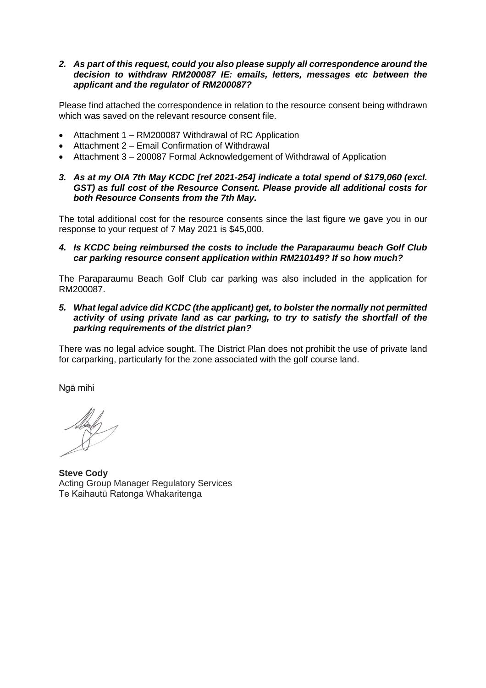## *2. As part of this request, could you also please supply all correspondence around the decision to withdraw RM200087 IE: emails, letters, messages etc between the applicant and the regulator of RM200087?*

Please find attached the correspondence in relation to the resource consent being withdrawn which was saved on the relevant resource consent file.

- Attachment 1 RM200087 Withdrawal of RC Application
- Attachment 2 Email Confirmation of Withdrawal
- Attachment 3 200087 Formal Acknowledgement of Withdrawal of Application
- *3. As at my OIA 7th May KCDC [ref 2021-254] indicate a total spend of \$179,060 (excl. GST) as full cost of the Resource Consent. Please provide all additional costs for both Resource Consents from the 7th May.*

The total additional cost for the resource consents since the last figure we gave you in our response to your request of 7 May 2021 is \$45,000.

*4. Is KCDC being reimbursed the costs to include the Paraparaumu beach Golf Club car parking resource consent application within RM210149? If so how much?*

The Paraparaumu Beach Golf Club car parking was also included in the application for RM200087.

*5. What legal advice did KCDC (the applicant) get, to bolster the normally not permitted activity of using private land as car parking, to try to satisfy the shortfall of the parking requirements of the district plan?*

There was no legal advice sought. The District Plan does not prohibit the use of private land for carparking, particularly for the zone associated with the golf course land.

Ngā mihi

**Steve Cody** Acting Group Manager Regulatory Services Te Kaihautū Ratonga Whakaritenga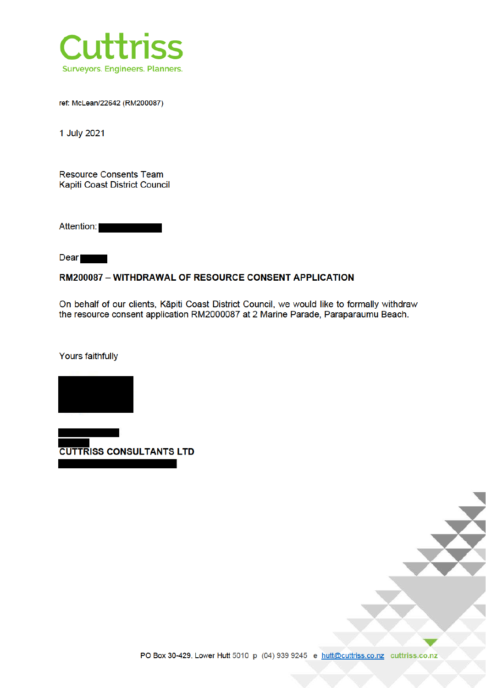

ref: McLean/22642 (RM200087)

1 July 2021

**Resource Consents Team** Kapiti Coast District Council

Attention:

**Dear** 

## **RM200087 - WITHDRAWAL OF RESOURCE CONSENT APPLICATION**

On behalf of our clients, Kāpiti Coast District Council, we would like to formally withdraw the resource consent application RM2000087 at 2 Marine Parade, Paraparaumu Beach.

Yours faithfully



**CUTTRISS CONSULTANTS LTD** 

PO Box 30-429, Lower Hutt 5010 p (04) 939 9245 e hutt@cuttriss.co.nz cuttriss.co.nz